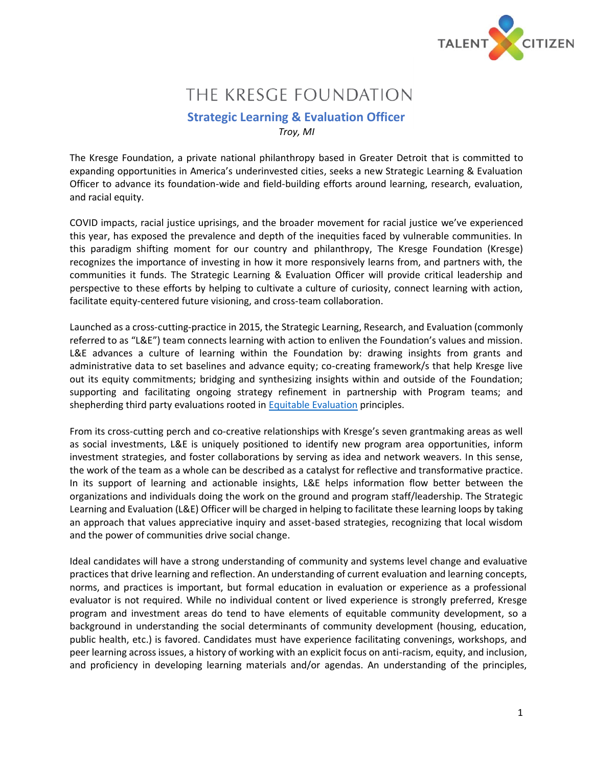

# THE KRESGE FOUNDATION

## **Strategic Learning & Evaluation Officer** *Troy, MI*

The Kresge Foundation, a private national philanthropy based in Greater Detroit that is committed to expanding opportunities in America's underinvested cities, seeks a new Strategic Learning & Evaluation Officer to advance its foundation-wide and field-building efforts around learning, research, evaluation, and racial equity.

COVID impacts, racial justice uprisings, and the broader movement for racial justice we've experienced this year, has exposed the prevalence and depth of the inequities faced by vulnerable communities. In this paradigm shifting moment for our country and philanthropy, The Kresge Foundation (Kresge) recognizes the importance of investing in how it more responsively learns from, and partners with, the communities it funds. The Strategic Learning & Evaluation Officer will provide critical leadership and perspective to these efforts by helping to cultivate a culture of curiosity, connect learning with action, facilitate equity-centered future visioning, and cross-team collaboration.

Launched as a cross-cutting-practice in 2015, the Strategic Learning, Research, and Evaluation (commonly referred to as "L&E") team connects learning with action to enliven the Foundation's values and mission. L&E advances a culture of learning within the Foundation by: drawing insights from grants and administrative data to set baselines and advance equity; co-creating framework/s that help Kresge live out its equity commitments; bridging and synthesizing insights within and outside of the Foundation; supporting and facilitating ongoing strategy refinement in partnership with Program teams; and shepherding third party evaluations rooted in [Equitable Evaluation](https://www.equitableeval.org/ee-framework) principles.

From its cross-cutting perch and co-creative relationships with Kresge's seven grantmaking areas as well as social investments, L&E is uniquely positioned to identify new program area opportunities, inform investment strategies, and foster collaborations by serving as idea and network weavers. In this sense, the work of the team as a whole can be described as a catalyst for reflective and transformative practice. In its support of learning and actionable insights, L&E helps information flow better between the organizations and individuals doing the work on the ground and program staff/leadership. The Strategic Learning and Evaluation (L&E) Officer will be charged in helping to facilitate these learning loops by taking an approach that values appreciative inquiry and asset-based strategies, recognizing that local wisdom and the power of communities drive social change.

Ideal candidates will have a strong understanding of community and systems level change and evaluative practices that drive learning and reflection. An understanding of current evaluation and learning concepts, norms, and practices is important, but formal education in evaluation or experience as a professional evaluator is not required. While no individual content or lived experience is strongly preferred, Kresge program and investment areas do tend to have elements of equitable community development, so a background in understanding the social determinants of community development (housing, education, public health, etc.) is favored. Candidates must have experience facilitating convenings, workshops, and peer learning across issues, a history of working with an explicit focus on anti-racism, equity, and inclusion, and proficiency in developing learning materials and/or agendas. An understanding of the principles,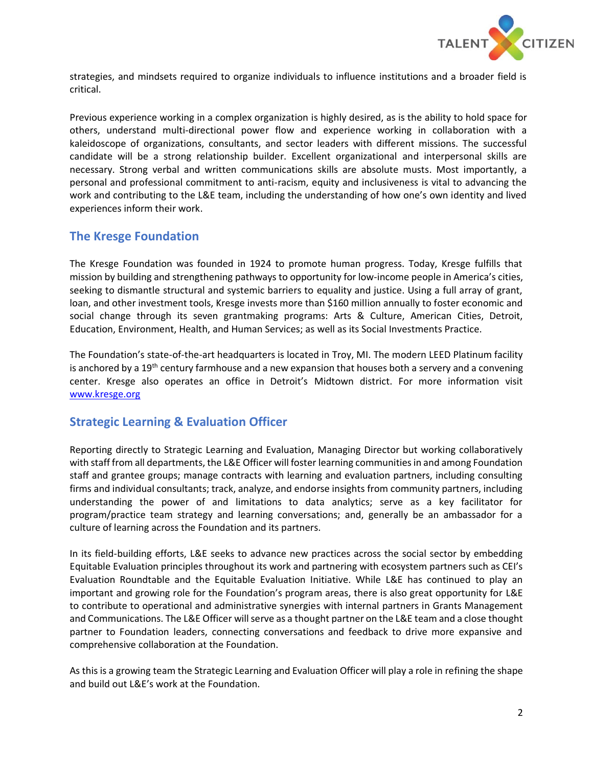

strategies, and mindsets required to organize individuals to influence institutions and a broader field is critical.

Previous experience working in a complex organization is highly desired, as is the ability to hold space for others, understand multi-directional power flow and experience working in collaboration with a kaleidoscope of organizations, consultants, and sector leaders with different missions. The successful candidate will be a strong relationship builder. Excellent organizational and interpersonal skills are necessary. Strong verbal and written communications skills are absolute musts. Most importantly, a personal and professional commitment to anti-racism, equity and inclusiveness is vital to advancing the work and contributing to the L&E team, including the understanding of how one's own identity and lived experiences inform their work.

## **The Kresge Foundation**

The Kresge Foundation was founded in 1924 to promote human progress. Today, Kresge fulfills that mission by building and strengthening pathways to opportunity for low-income people in America's cities, seeking to dismantle structural and systemic barriers to equality and justice. Using a full array of grant, loan, and other investment tools, Kresge invests more than \$160 million annually to foster economic and social change through its seven grantmaking programs: Arts & Culture, American Cities, Detroit, Education, Environment, Health, and Human Services; as well as its Social Investments Practice.

The Foundation's state-of-the-art headquarters is located in Troy, MI. The modern LEED Platinum facility is anchored by a 19<sup>th</sup> century farmhouse and a new expansion that houses both a servery and a convening center. Kresge also operates an office in Detroit's Midtown district. For more information visit [www.kresge.org](http://www.kresge.org/) 

# **Strategic Learning & Evaluation Officer**

Reporting directly to Strategic Learning and Evaluation, Managing Director but working collaboratively with staff from all departments, the L&E Officer will foster learning communities in and among Foundation staff and grantee groups; manage contracts with learning and evaluation partners, including consulting firms and individual consultants; track, analyze, and endorse insights from community partners, including understanding the power of and limitations to data analytics; serve as a key facilitator for program/practice team strategy and learning conversations; and, generally be an ambassador for a culture of learning across the Foundation and its partners.

In its field-building efforts, L&E seeks to advance new practices across the social sector by embedding Equitable Evaluation principles throughout its work and partnering with ecosystem partners such as CEI's Evaluation Roundtable and the Equitable Evaluation Initiative. While L&E has continued to play an important and growing role for the Foundation's program areas, there is also great opportunity for L&E to contribute to operational and administrative synergies with internal partners in Grants Management and Communications. The L&E Officer will serve as a thought partner on the L&E team and a close thought partner to Foundation leaders, connecting conversations and feedback to drive more expansive and comprehensive collaboration at the Foundation.

As this is a growing team the Strategic Learning and Evaluation Officer will play a role in refining the shape and build out L&E's work at the Foundation.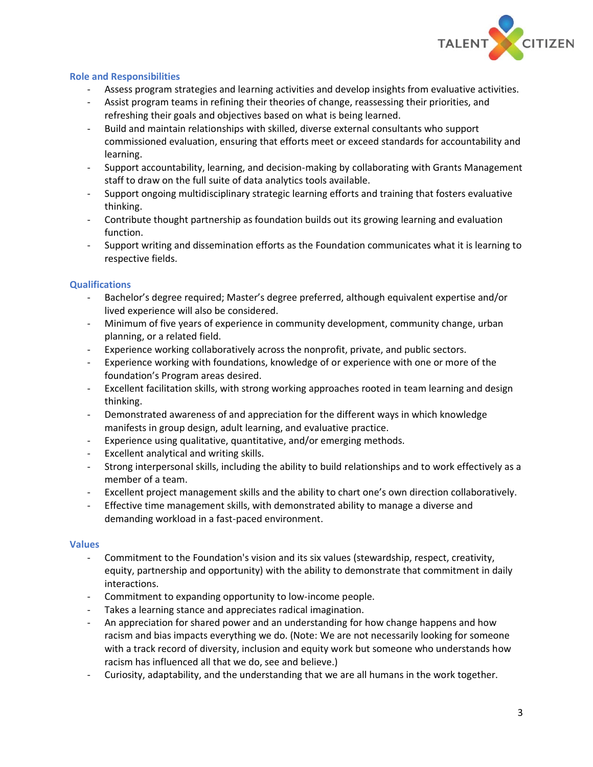

### **Role and Responsibilities**

- Assess program strategies and learning activities and develop insights from evaluative activities.
- Assist program teams in refining their theories of change, reassessing their priorities, and refreshing their goals and objectives based on what is being learned.
- Build and maintain relationships with skilled, diverse external consultants who support commissioned evaluation, ensuring that efforts meet or exceed standards for accountability and learning.
- Support accountability, learning, and decision-making by collaborating with Grants Management staff to draw on the full suite of data analytics tools available.
- Support ongoing multidisciplinary strategic learning efforts and training that fosters evaluative thinking.
- Contribute thought partnership as foundation builds out its growing learning and evaluation function.
- Support writing and dissemination efforts as the Foundation communicates what it is learning to respective fields.

## **Qualifications**

- Bachelor's degree required; Master's degree preferred, although equivalent expertise and/or lived experience will also be considered.
- Minimum of five years of experience in community development, community change, urban planning, or a related field.
- Experience working collaboratively across the nonprofit, private, and public sectors.
- Experience working with foundations, knowledge of or experience with one or more of the foundation's Program areas desired.
- Excellent facilitation skills, with strong working approaches rooted in team learning and design thinking.
- Demonstrated awareness of and appreciation for the different ways in which knowledge manifests in group design, adult learning, and evaluative practice.
- Experience using qualitative, quantitative, and/or emerging methods.
- Excellent analytical and writing skills.
- Strong interpersonal skills, including the ability to build relationships and to work effectively as a member of a team.
- Excellent project management skills and the ability to chart one's own direction collaboratively.
- Effective time management skills, with demonstrated ability to manage a diverse and demanding workload in a fast-paced environment.

### **Values**

- Commitment to the Foundation's vision and its six values (stewardship, respect, creativity, equity, partnership and opportunity) with the ability to demonstrate that commitment in daily interactions.
- Commitment to expanding opportunity to low-income people.
- Takes a learning stance and appreciates radical imagination.
- An appreciation for shared power and an understanding for how change happens and how racism and bias impacts everything we do. (Note: We are not necessarily looking for someone with a track record of diversity, inclusion and equity work but someone who understands how racism has influenced all that we do, see and believe.)
- Curiosity, adaptability, and the understanding that we are all humans in the work together.